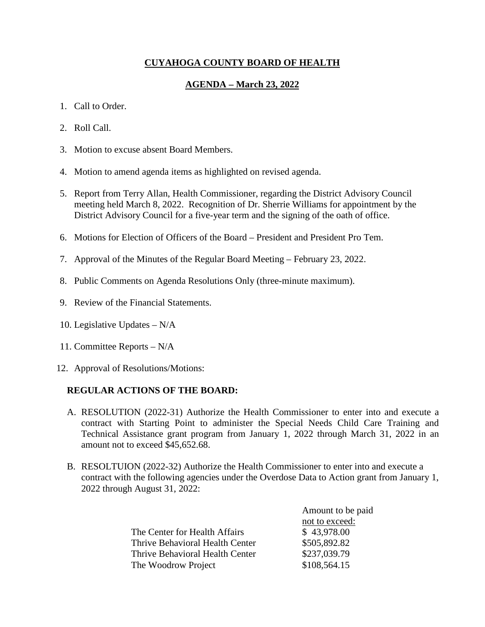# **CUYAHOGA COUNTY BOARD OF HEALTH**

# **AGENDA – March 23, 2022**

## 1. Call to Order.

- 2. Roll Call.
- 3. Motion to excuse absent Board Members.
- 4. Motion to amend agenda items as highlighted on revised agenda.
- 5. Report from Terry Allan, Health Commissioner, regarding the District Advisory Council meeting held March 8, 2022. Recognition of Dr. Sherrie Williams for appointment by the District Advisory Council for a five-year term and the signing of the oath of office.
- 6. Motions for Election of Officers of the Board President and President Pro Tem.
- 7. Approval of the Minutes of the Regular Board Meeting February 23, 2022.
- 8. Public Comments on Agenda Resolutions Only (three-minute maximum).
- 9. Review of the Financial Statements.
- 10. Legislative Updates N/A
- 11. Committee Reports N/A
- 12. Approval of Resolutions/Motions:

# **REGULAR ACTIONS OF THE BOARD:**

- A. RESOLUTION (2022-31) Authorize the Health Commissioner to enter into and execute a contract with Starting Point to administer the Special Needs Child Care Training and Technical Assistance grant program from January 1, 2022 through March 31, 2022 in an amount not to exceed \$45,652.68.
- B. RESOLTUION (2022-32) Authorize the Health Commissioner to enter into and execute a contract with the following agencies under the Overdose Data to Action grant from January 1, 2022 through August 31, 2022:

|                                 | Amount to be paid |
|---------------------------------|-------------------|
|                                 | not to exceed:    |
| The Center for Health Affairs   | \$43,978.00       |
| Thrive Behavioral Health Center | \$505,892.82      |
| Thrive Behavioral Health Center | \$237,039.79      |
| The Woodrow Project             | \$108,564.15      |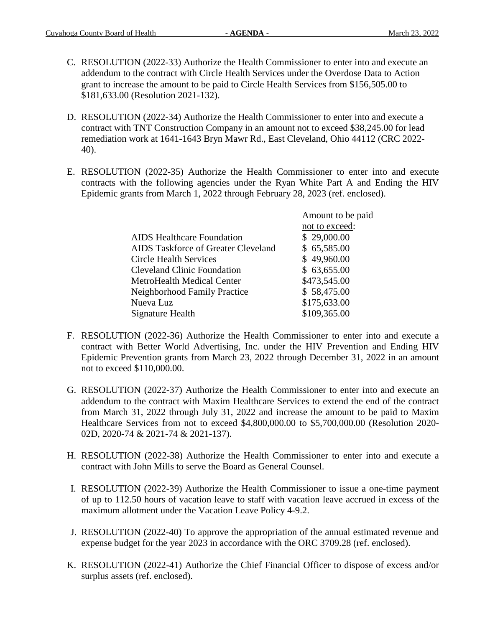- C. RESOLUTION (2022-33) Authorize the Health Commissioner to enter into and execute an addendum to the contract with Circle Health Services under the Overdose Data to Action grant to increase the amount to be paid to Circle Health Services from \$156,505.00 to \$181,633.00 (Resolution 2021-132).
- D. RESOLUTION (2022-34) Authorize the Health Commissioner to enter into and execute a contract with TNT Construction Company in an amount not to exceed \$38,245.00 for lead remediation work at 1641-1643 Bryn Mawr Rd., East Cleveland, Ohio 44112 (CRC 2022- 40).
- E. RESOLUTION (2022-35) Authorize the Health Commissioner to enter into and execute contracts with the following agencies under the Ryan White Part A and Ending the HIV Epidemic grants from March 1, 2022 through February 28, 2023 (ref. enclosed).

|                                     | Amount to be paid |
|-------------------------------------|-------------------|
|                                     | not to exceed:    |
| <b>AIDS</b> Healthcare Foundation   | \$29,000.00       |
| AIDS Taskforce of Greater Cleveland | \$65,585.00       |
| <b>Circle Health Services</b>       | \$49,960.00       |
| <b>Cleveland Clinic Foundation</b>  | \$63,655.00       |
| MetroHealth Medical Center          | \$473,545.00      |
| Neighborhood Family Practice        | \$58,475.00       |
| Nueva Luz                           | \$175,633.00      |
| Signature Health                    | \$109,365.00      |
|                                     |                   |

- F. RESOLUTION (2022-36) Authorize the Health Commissioner to enter into and execute a contract with Better World Advertising, Inc. under the HIV Prevention and Ending HIV Epidemic Prevention grants from March 23, 2022 through December 31, 2022 in an amount not to exceed \$110,000.00.
- G. RESOLUTION (2022-37) Authorize the Health Commissioner to enter into and execute an addendum to the contract with Maxim Healthcare Services to extend the end of the contract from March 31, 2022 through July 31, 2022 and increase the amount to be paid to Maxim Healthcare Services from not to exceed \$4,800,000.00 to \$5,700,000.00 (Resolution 2020- 02D, 2020-74 & 2021-74 & 2021-137).
- H. RESOLUTION (2022-38) Authorize the Health Commissioner to enter into and execute a contract with John Mills to serve the Board as General Counsel.
- I. RESOLUTION (2022-39) Authorize the Health Commissioner to issue a one-time payment of up to 112.50 hours of vacation leave to staff with vacation leave accrued in excess of the maximum allotment under the Vacation Leave Policy 4-9.2.
- J. RESOLUTION (2022-40) To approve the appropriation of the annual estimated revenue and expense budget for the year 2023 in accordance with the ORC 3709.28 (ref. enclosed).
- K. RESOLUTION (2022-41) Authorize the Chief Financial Officer to dispose of excess and/or surplus assets (ref. enclosed).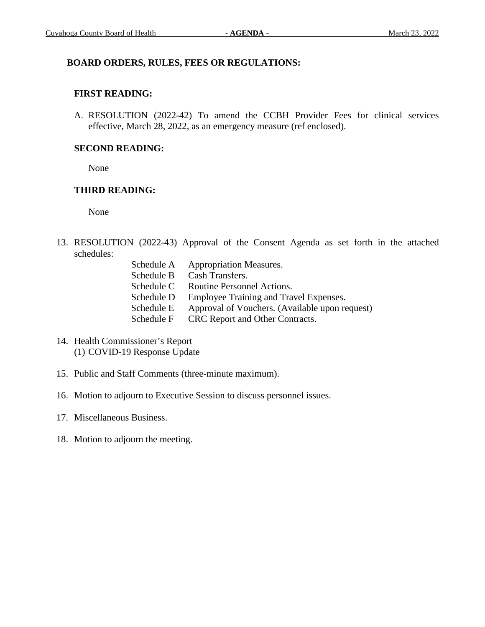## **BOARD ORDERS, RULES, FEES OR REGULATIONS:**

## **FIRST READING:**

A. RESOLUTION (2022-42) To amend the CCBH Provider Fees for clinical services effective, March 28, 2022, as an emergency measure (ref enclosed).

## **SECOND READING:**

None

## **THIRD READING:**

None

13. RESOLUTION (2022-43) Approval of the Consent Agenda as set forth in the attached schedules:

| Schedule A | <b>Appropriation Measures.</b>                 |
|------------|------------------------------------------------|
| Schedule B | Cash Transfers.                                |
| Schedule C | Routine Personnel Actions.                     |
| Schedule D | Employee Training and Travel Expenses.         |
| Schedule E | Approval of Vouchers. (Available upon request) |
| Schedule F | CRC Report and Other Contracts.                |

- 14. Health Commissioner's Report (1) COVID-19 Response Update
- 15. Public and Staff Comments (three-minute maximum).
- 16. Motion to adjourn to Executive Session to discuss personnel issues.
- 17. Miscellaneous Business.
- 18. Motion to adjourn the meeting.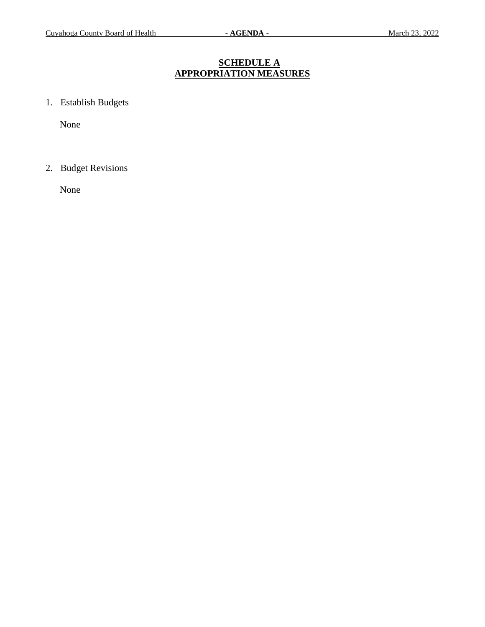# **SCHEDULE A APPROPRIATION MEASURES**

1. Establish Budgets

None

2. Budget Revisions

None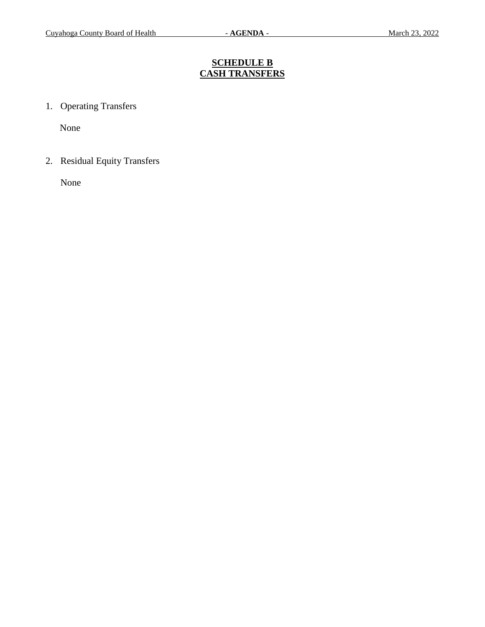# **SCHEDULE B CASH TRANSFERS**

1. Operating Transfers

None

2. Residual Equity Transfers

None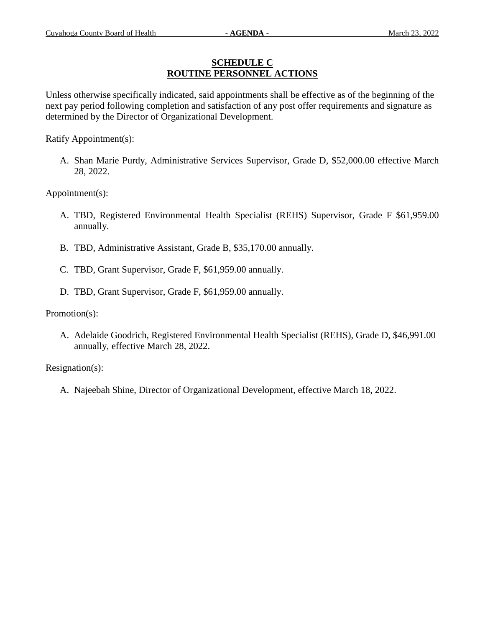## **SCHEDULE C ROUTINE PERSONNEL ACTIONS**

Unless otherwise specifically indicated, said appointments shall be effective as of the beginning of the next pay period following completion and satisfaction of any post offer requirements and signature as determined by the Director of Organizational Development.

Ratify Appointment(s):

A. Shan Marie Purdy, Administrative Services Supervisor, Grade D, \$52,000.00 effective March 28, 2022.

Appointment(s):

- A. TBD, Registered Environmental Health Specialist (REHS) Supervisor, Grade F \$61,959.00 annually.
- B. TBD, Administrative Assistant, Grade B, \$35,170.00 annually.
- C. TBD, Grant Supervisor, Grade F, \$61,959.00 annually.
- D. TBD, Grant Supervisor, Grade F, \$61,959.00 annually.

Promotion(s):

A. Adelaide Goodrich, Registered Environmental Health Specialist (REHS), Grade D, \$46,991.00 annually, effective March 28, 2022.

Resignation(s):

A. Najeebah Shine, Director of Organizational Development, effective March 18, 2022.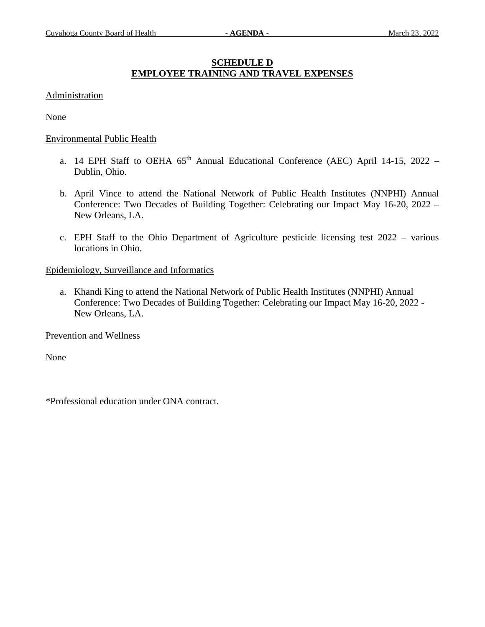# **SCHEDULE D EMPLOYEE TRAINING AND TRAVEL EXPENSES**

### Administration

None

#### Environmental Public Health

- a. 14 EPH Staff to OEHA  $65<sup>th</sup>$  Annual Educational Conference (AEC) April 14-15, 2022 Dublin, Ohio.
- b. April Vince to attend the National Network of Public Health Institutes (NNPHI) Annual Conference: Two Decades of Building Together: Celebrating our Impact May 16-20, 2022 – New Orleans, LA.
- c. EPH Staff to the Ohio Department of Agriculture pesticide licensing test 2022 various locations in Ohio.

#### Epidemiology, Surveillance and Informatics

a. Khandi King to attend the National Network of Public Health Institutes (NNPHI) Annual Conference: Two Decades of Building Together: Celebrating our Impact May 16-20, 2022 - New Orleans, LA.

Prevention and Wellness

None

\*Professional education under ONA contract.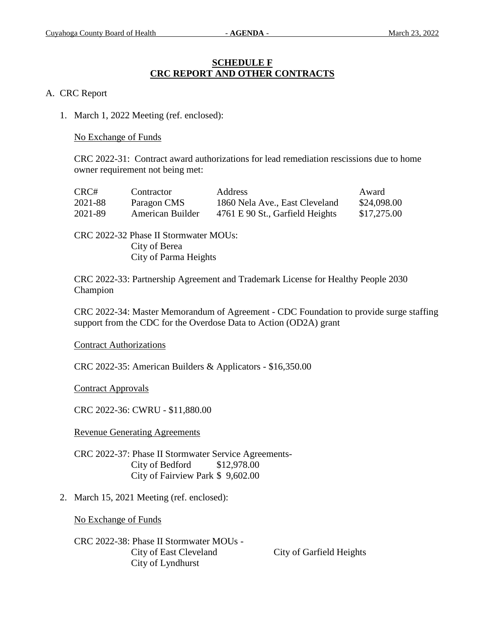## **SCHEDULE F CRC REPORT AND OTHER CONTRACTS**

## A. CRC Report

1. March 1, 2022 Meeting (ref. enclosed):

No Exchange of Funds

CRC 2022-31: Contract award authorizations for lead remediation rescissions due to home owner requirement not being met:

| CRC#    | Contractor       | Address                         | Award       |
|---------|------------------|---------------------------------|-------------|
| 2021-88 | Paragon CMS      | 1860 Nela Ave., East Cleveland  | \$24,098.00 |
| 2021-89 | American Builder | 4761 E 90 St., Garfield Heights | \$17,275.00 |

CRC 2022-32 Phase II Stormwater MOUs: City of Berea City of Parma Heights

CRC 2022-33: Partnership Agreement and Trademark License for Healthy People 2030 Champion

CRC 2022-34: Master Memorandum of Agreement - CDC Foundation to provide surge staffing support from the CDC for the Overdose Data to Action (OD2A) grant

Contract Authorizations

CRC 2022-35: American Builders & Applicators - \$16,350.00

Contract Approvals

CRC 2022-36: CWRU - \$11,880.00

Revenue Generating Agreements

CRC 2022-37: Phase II Stormwater Service Agreements-City of Bedford \$12,978.00 City of Fairview Park \$ 9,602.00

2. March 15, 2021 Meeting (ref. enclosed):

No Exchange of Funds

CRC 2022-38: Phase II Stormwater MOUs - City of East Cleveland City of Garfield Heights City of Lyndhurst